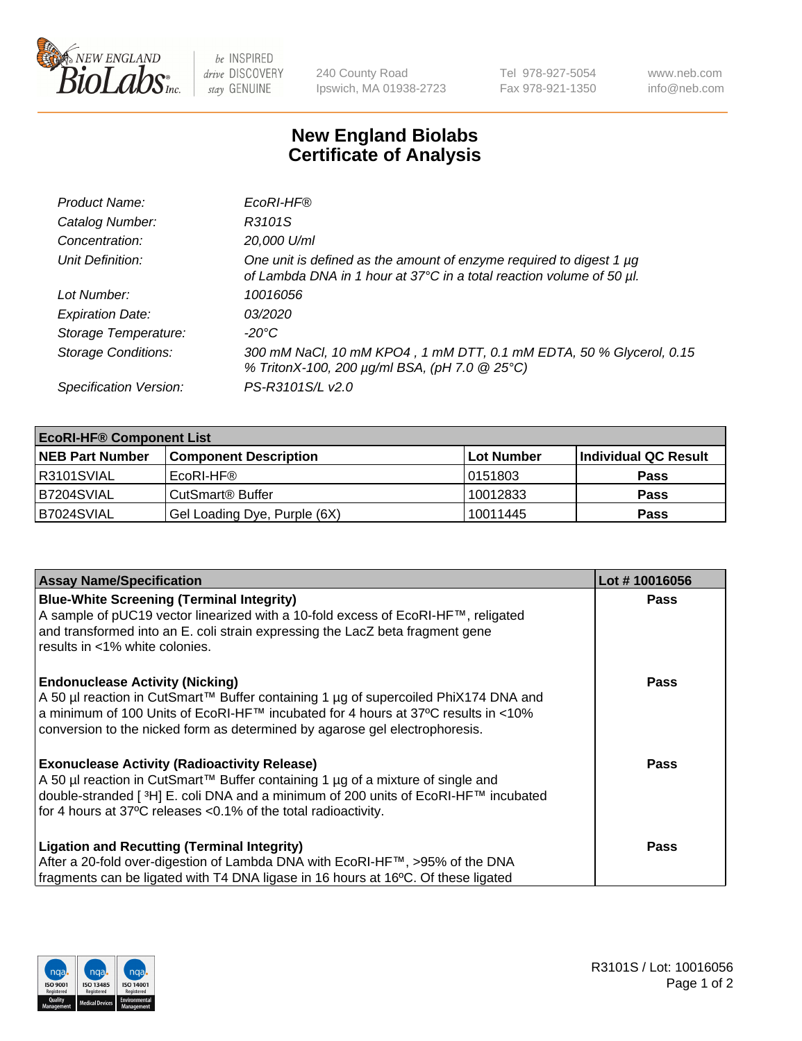

 $be$  INSPIRED drive DISCOVERY stay GENUINE

240 County Road Ipswich, MA 01938-2723 Tel 978-927-5054 Fax 978-921-1350 www.neb.com info@neb.com

## **New England Biolabs Certificate of Analysis**

| Product Name:              | EcoRI-HF®                                                                                                                                   |
|----------------------------|---------------------------------------------------------------------------------------------------------------------------------------------|
| Catalog Number:            | R3101S                                                                                                                                      |
| Concentration:             | 20,000 U/ml                                                                                                                                 |
| Unit Definition:           | One unit is defined as the amount of enzyme required to digest 1 µg<br>of Lambda DNA in 1 hour at 37°C in a total reaction volume of 50 µl. |
| Lot Number:                | 10016056                                                                                                                                    |
| <b>Expiration Date:</b>    | 03/2020                                                                                                                                     |
| Storage Temperature:       | $-20^{\circ}$ C                                                                                                                             |
| <b>Storage Conditions:</b> | 300 mM NaCl, 10 mM KPO4, 1 mM DTT, 0.1 mM EDTA, 50 % Glycerol, 0.15<br>% TritonX-100, 200 µg/ml BSA, (pH 7.0 @ 25°C)                        |
| Specification Version:     | PS-R3101S/L v2.0                                                                                                                            |

| <b>EcoRI-HF® Component List</b> |                              |                   |                      |  |  |
|---------------------------------|------------------------------|-------------------|----------------------|--|--|
| <b>NEB Part Number</b>          | <b>Component Description</b> | <b>Lot Number</b> | Individual QC Result |  |  |
| IR3101SVIAL                     | EcoRI-HF®                    | 10151803          | <b>Pass</b>          |  |  |
| IB7204SVIAL                     | CutSmart <sup>®</sup> Buffer | 10012833          | <b>Pass</b>          |  |  |
| B7024SVIAL                      | Gel Loading Dye, Purple (6X) | 10011445          | <b>Pass</b>          |  |  |

| <b>Assay Name/Specification</b>                                                                                                                                                                                                                                                                               | Lot #10016056 |
|---------------------------------------------------------------------------------------------------------------------------------------------------------------------------------------------------------------------------------------------------------------------------------------------------------------|---------------|
| <b>Blue-White Screening (Terminal Integrity)</b><br>A sample of pUC19 vector linearized with a 10-fold excess of EcoRI-HF™, religated<br>and transformed into an E. coli strain expressing the LacZ beta fragment gene                                                                                        | <b>Pass</b>   |
| results in <1% white colonies.                                                                                                                                                                                                                                                                                |               |
| <b>Endonuclease Activity (Nicking)</b><br>A 50 µl reaction in CutSmart™ Buffer containing 1 µg of supercoiled PhiX174 DNA and<br>  a minimum of 100 Units of EcoRI-HF™ incubated for 4 hours at 37°C results in <10%<br>conversion to the nicked form as determined by agarose gel electrophoresis.           | <b>Pass</b>   |
| <b>Exonuclease Activity (Radioactivity Release)</b><br>  A 50 µl reaction in CutSmart™ Buffer containing 1 µg of a mixture of single and<br>double-stranded [ <sup>3</sup> H] E. coli DNA and a minimum of 200 units of EcoRI-HF™ incubated<br>for 4 hours at 37°C releases <0.1% of the total radioactivity. | Pass          |
| <b>Ligation and Recutting (Terminal Integrity)</b>                                                                                                                                                                                                                                                            | <b>Pass</b>   |
|                                                                                                                                                                                                                                                                                                               |               |
| After a 20-fold over-digestion of Lambda DNA with EcoRI-HF™, >95% of the DNA<br>fragments can be ligated with T4 DNA ligase in 16 hours at 16°C. Of these ligated                                                                                                                                             |               |